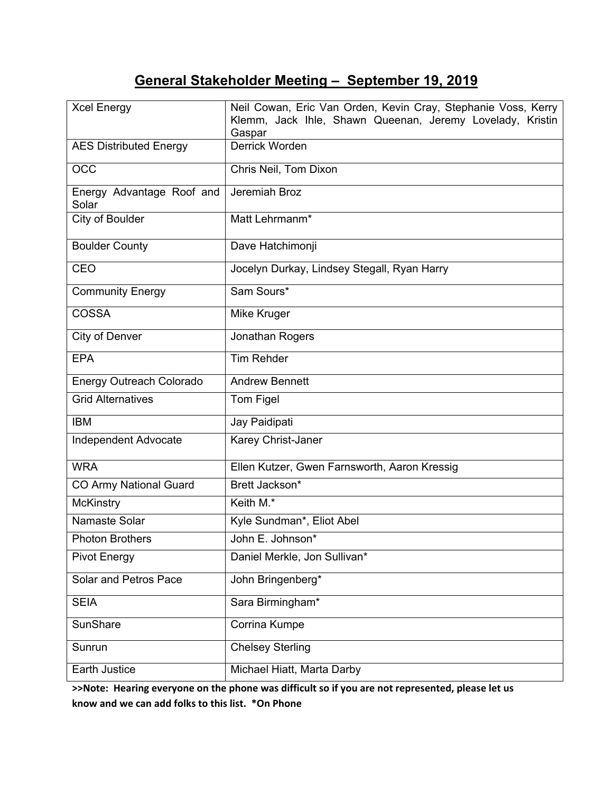# **General Stakeholder Meeting – September 19, 2019**

| <b>Xcel Energy</b>                 | Neil Cowan, Eric Van Orden, Kevin Cray, Stephanie Voss, Kerry<br>Klemm, Jack Ihle, Shawn Queenan, Jeremy Lovelady, Kristin<br>Gaspar |
|------------------------------------|--------------------------------------------------------------------------------------------------------------------------------------|
| <b>AES Distributed Energy</b>      | <b>Derrick Worden</b>                                                                                                                |
| <b>OCC</b>                         | Chris Neil, Tom Dixon                                                                                                                |
| Energy Advantage Roof and<br>Solar | Jeremiah Broz                                                                                                                        |
| City of Boulder                    | Matt Lehrmanm*                                                                                                                       |
| <b>Boulder County</b>              | Dave Hatchimonji                                                                                                                     |
| <b>CEO</b>                         | Jocelyn Durkay, Lindsey Stegall, Ryan Harry                                                                                          |
| <b>Community Energy</b>            | Sam Sours*                                                                                                                           |
| COSSA                              | Mike Kruger                                                                                                                          |
| City of Denver                     | Jonathan Rogers                                                                                                                      |
| <b>EPA</b>                         | <b>Tim Rehder</b>                                                                                                                    |
| <b>Energy Outreach Colorado</b>    | <b>Andrew Bennett</b>                                                                                                                |
| <b>Grid Alternatives</b>           | Tom Figel                                                                                                                            |
| <b>IBM</b>                         | Jay Paidipati                                                                                                                        |
| Independent Advocate               | Karey Christ-Janer                                                                                                                   |
| <b>WRA</b>                         | Ellen Kutzer, Gwen Farnsworth, Aaron Kressig                                                                                         |
| <b>CO Army National Guard</b>      | Brett Jackson*                                                                                                                       |
| <b>McKinstry</b>                   | Keith M.*                                                                                                                            |
| Namaste Solar                      | Kyle Sundman*, Eliot Abel                                                                                                            |
| <b>Photon Brothers</b>             | John E. Johnson*                                                                                                                     |
| <b>Pivot Energy</b>                | Daniel Merkle, Jon Sullivan*                                                                                                         |
| Solar and Petros Pace              | John Bringenberg*                                                                                                                    |
| <b>SEIA</b>                        | Sara Birmingham*                                                                                                                     |
| <b>SunShare</b>                    | Corrina Kumpe                                                                                                                        |
| Sunrun                             | <b>Chelsey Sterling</b>                                                                                                              |
| Earth Justice                      | Michael Hiatt, Marta Darby                                                                                                           |

**>>Note: Hearing everyone on the phone was difficult so if you are not represented, please let us know and we can add folks to this list. \*On Phone**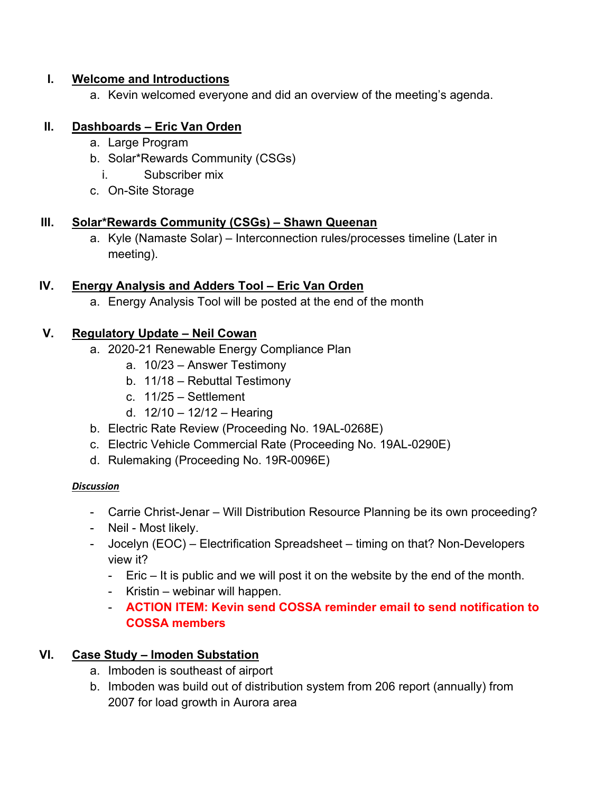#### **I. Welcome and Introductions**

a. Kevin welcomed everyone and did an overview of the meeting's agenda.

#### **II. Dashboards – Eric Van Orden**

- a. Large Program
- b. Solar\*Rewards Community (CSGs)
	- i. Subscriber mix
- c. On-Site Storage

## **III. Solar\*Rewards Community (CSGs) – Shawn Queenan**

a. Kyle (Namaste Solar) – Interconnection rules/processes timeline (Later in meeting).

## **IV. Energy Analysis and Adders Tool – Eric Van Orden**

a. Energy Analysis Tool will be posted at the end of the month

## **V. Regulatory Update – Neil Cowan**

- a. 2020-21 Renewable Energy Compliance Plan
	- a. 10/23 Answer Testimony
	- b. 11/18 Rebuttal Testimony
	- c. 11/25 Settlement
	- d. 12/10 12/12 Hearing
- b. Electric Rate Review (Proceeding No. 19AL-0268E)
- c. Electric Vehicle Commercial Rate (Proceeding No. 19AL-0290E)
- d. Rulemaking (Proceeding No. 19R-0096E)

#### *Discussion*

- Carrie Christ-Jenar Will Distribution Resource Planning be its own proceeding?
- Neil Most likely.
- Jocelyn (EOC) Electrification Spreadsheet timing on that? Non-Developers view it?
	- Eric It is public and we will post it on the website by the end of the month.
	- Kristin webinar will happen.
	- **ACTION ITEM: Kevin send COSSA reminder email to send notification to COSSA members**

# **VI. Case Study – Imoden Substation**

- a. Imboden is southeast of airport
- b. Imboden was build out of distribution system from 206 report (annually) from 2007 for load growth in Aurora area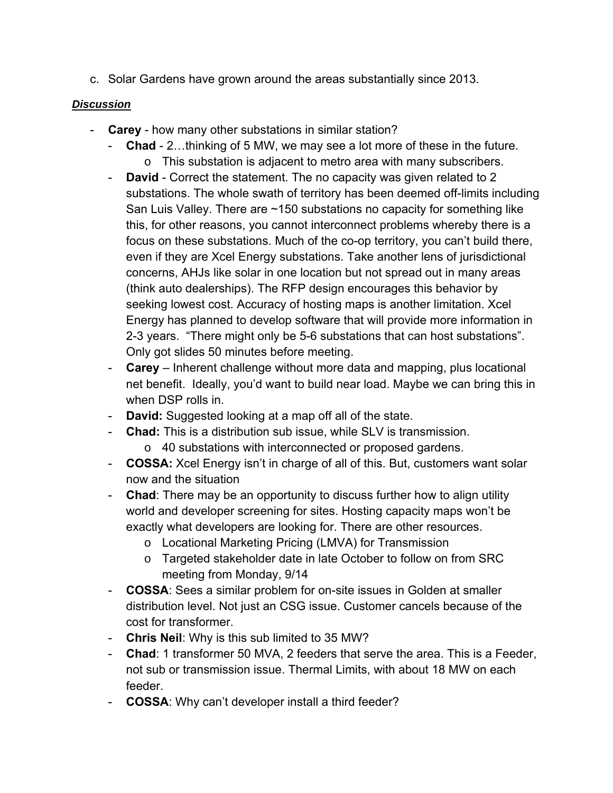c. Solar Gardens have grown around the areas substantially since 2013.

#### *Discussion*

- **Carey** how many other substations in similar station?
	- **Chad** 2…thinking of 5 MW, we may see a lot more of these in the future. o This substation is adjacent to metro area with many subscribers.
	- **David**  Correct the statement. The no capacity was given related to 2 substations. The whole swath of territory has been deemed off-limits including San Luis Valley. There are ~150 substations no capacity for something like this, for other reasons, you cannot interconnect problems whereby there is a focus on these substations. Much of the co-op territory, you can't build there, even if they are Xcel Energy substations. Take another lens of jurisdictional concerns, AHJs like solar in one location but not spread out in many areas (think auto dealerships). The RFP design encourages this behavior by seeking lowest cost. Accuracy of hosting maps is another limitation. Xcel Energy has planned to develop software that will provide more information in 2-3 years. "There might only be 5-6 substations that can host substations". Only got slides 50 minutes before meeting.
	- **Carey** Inherent challenge without more data and mapping, plus locational net benefit. Ideally, you'd want to build near load. Maybe we can bring this in when DSP rolls in.
	- **David:** Suggested looking at a map off all of the state.
	- **Chad:** This is a distribution sub issue, while SLV is transmission.
		- o 40 substations with interconnected or proposed gardens.
	- **COSSA:** Xcel Energy isn't in charge of all of this. But, customers want solar now and the situation
	- **Chad**: There may be an opportunity to discuss further how to align utility world and developer screening for sites. Hosting capacity maps won't be exactly what developers are looking for. There are other resources.
		- o Locational Marketing Pricing (LMVA) for Transmission
		- o Targeted stakeholder date in late October to follow on from SRC meeting from Monday, 9/14
	- **COSSA**: Sees a similar problem for on-site issues in Golden at smaller distribution level. Not just an CSG issue. Customer cancels because of the cost for transformer.
	- **Chris Neil**: Why is this sub limited to 35 MW?
	- **Chad**: 1 transformer 50 MVA, 2 feeders that serve the area. This is a Feeder, not sub or transmission issue. Thermal Limits, with about 18 MW on each feeder.
	- **COSSA**: Why can't developer install a third feeder?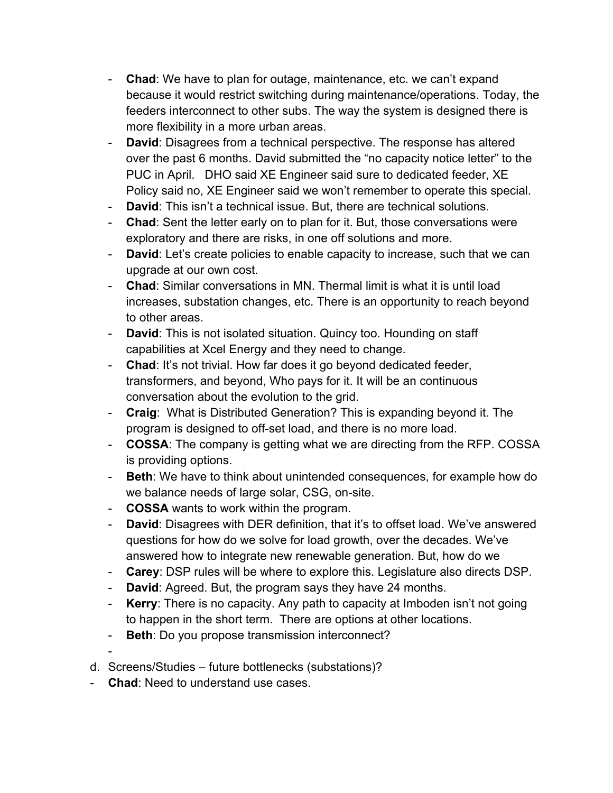- **Chad**: We have to plan for outage, maintenance, etc. we can't expand because it would restrict switching during maintenance/operations. Today, the feeders interconnect to other subs. The way the system is designed there is more flexibility in a more urban areas.
- **David**: Disagrees from a technical perspective. The response has altered over the past 6 months. David submitted the "no capacity notice letter" to the PUC in April. DHO said XE Engineer said sure to dedicated feeder, XE Policy said no, XE Engineer said we won't remember to operate this special.
- **David**: This isn't a technical issue. But, there are technical solutions.
- **Chad**: Sent the letter early on to plan for it. But, those conversations were exploratory and there are risks, in one off solutions and more.
- **David**: Let's create policies to enable capacity to increase, such that we can upgrade at our own cost.
- **Chad**: Similar conversations in MN. Thermal limit is what it is until load increases, substation changes, etc. There is an opportunity to reach beyond to other areas.
- **David**: This is not isolated situation. Quincy too. Hounding on staff capabilities at Xcel Energy and they need to change.
- **Chad**: It's not trivial. How far does it go beyond dedicated feeder, transformers, and beyond, Who pays for it. It will be an continuous conversation about the evolution to the grid.
- **Craig**: What is Distributed Generation? This is expanding beyond it. The program is designed to off-set load, and there is no more load.
- **COSSA**: The company is getting what we are directing from the RFP. COSSA is providing options.
- **Beth**: We have to think about unintended consequences, for example how do we balance needs of large solar, CSG, on-site.
- **COSSA** wants to work within the program.
- **David**: Disagrees with DER definition, that it's to offset load. We've answered questions for how do we solve for load growth, over the decades. We've answered how to integrate new renewable generation. But, how do we
- **Carey**: DSP rules will be where to explore this. Legislature also directs DSP.
- **David**: Agreed. But, the program says they have 24 months.
- **Kerry**: There is no capacity. Any path to capacity at Imboden isn't not going to happen in the short term. There are options at other locations.
- **Beth**: Do you propose transmission interconnect?
- -
- d. Screens/Studies future bottlenecks (substations)?
- **Chad**: Need to understand use cases.